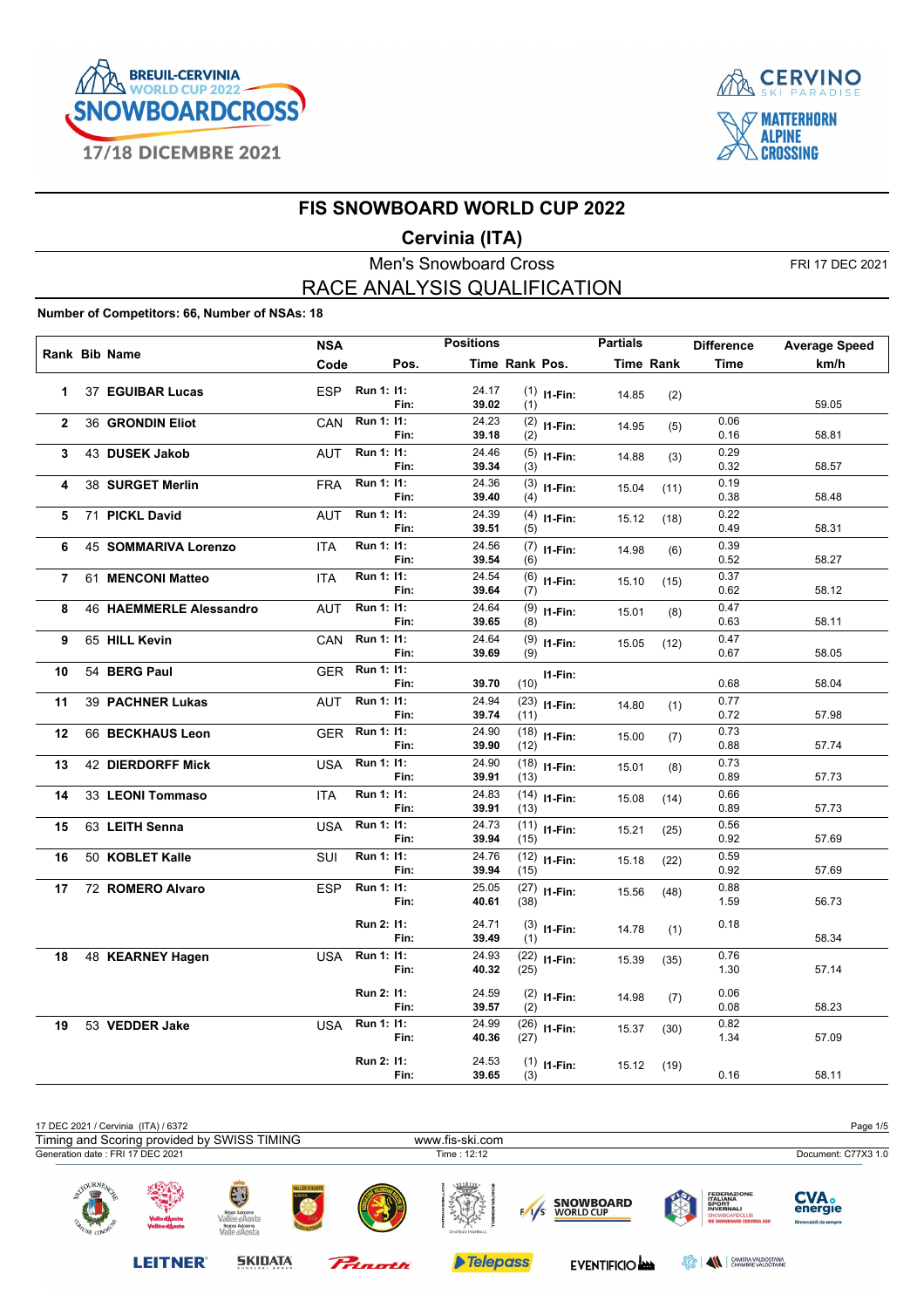



#### **Cervinia (ITA)**

Men's Snowboard Cross FRI 17 DEC 2021 RACE ANALYSIS QUALIFICATION

#### **Number of Competitors: 66, Number of NSAs: 18**

| Rank Bib Name  |                          | <b>NSA</b> |                |      | <b>Positions</b> |                |                | <b>Partials</b>  |      | <b>Difference</b> | <b>Average Speed</b> |
|----------------|--------------------------|------------|----------------|------|------------------|----------------|----------------|------------------|------|-------------------|----------------------|
|                |                          | Code       |                | Pos. |                  | Time Rank Pos. |                | <b>Time Rank</b> |      | <b>Time</b>       | km/h                 |
| 1              | 37 EGUIBAR Lucas         | ESP        | Run 1: 11:     | Fin: | 24.17<br>39.02   | (1)            | $(1)$ 11-Fin:  | 14.85            | (2)  |                   | 59.05                |
| $\overline{2}$ | 36 GRONDIN Eliot         | CAN        | Run 1: 11:     | Fin: | 24.23<br>39.18   | (2)            | $(2)$ 11-Fin:  | 14.95            | (5)  | 0.06<br>0.16      | 58.81                |
| 3              | 43 DUSEK Jakob           | <b>AUT</b> | Run 1: 11:     | Fin: | 24.46<br>39.34   | (3)            | $(5)$ 11-Fin:  | 14.88            | (3)  | 0.29<br>0.32      | 58.57                |
| 4              | 38 SURGET Merlin         | <b>FRA</b> | Run 1: 11:     | Fin: | 24.36<br>39.40   | (4)            | $(3)$ 11-Fin:  | 15.04            | (11) | 0.19<br>0.38      | 58.48                |
| 5              | 71 PICKL David           | <b>AUT</b> | Run 1: 11:     | Fin: | 24.39<br>39.51   | (5)            | $(4)$ 11-Fin:  | 15.12            | (18) | 0.22<br>0.49      | 58.31                |
| 6              | 45 SOMMARIVA Lorenzo     | <b>ITA</b> | Run 1: 11:     | Fin: | 24.56<br>39.54   | (6)            | $(7)$ 11-Fin:  | 14.98            | (6)  | 0.39<br>0.52      | 58.27                |
| $\overline{7}$ | 61 MENCONI Matteo        | <b>ITA</b> | Run 1: 11:     | Fin: | 24.54<br>39.64   | (7)            | $(6)$ 11-Fin:  | 15.10            | (15) | 0.37<br>0.62      | 58.12                |
| 8              | 46 HAEMMERLE Alessandro  | <b>AUT</b> | Run 1: 11:     | Fin: | 24.64<br>39.65   | (9)<br>(8)     | I1-Fin:        | 15.01            | (8)  | 0.47<br>0.63      | 58.11                |
| 9              | 65 HILL Kevin            | CAN        | Run 1: 11:     | Fin: | 24.64<br>39.69   | (9)            | $(9)$ 11-Fin:  | 15.05            | (12) | 0.47<br>0.67      | 58.05                |
| 10             | 54 BERG Paul             | <b>GER</b> | Run 1: 11:     | Fin: | 39.70            | (10)           | $11-Fin:$      |                  |      | 0.68              | 58.04                |
| 11             | <b>39 PACHNER Lukas</b>  | <b>AUT</b> | Run 1: 11:     | Fin: | 24.94<br>39.74   | (11)           | $(23)$ 11-Fin: | 14.80            | (1)  | 0.77<br>0.72      | 57.98                |
| 12             | 66 BECKHAUS Leon         |            | GER Run 1: 11: | Fin: | 24.90<br>39.90   | (12)           | $(18)$ 11-Fin: | 15.00            | (7)  | 0.73<br>0.88      | 57.74                |
| 13             | <b>42 DIERDORFF Mick</b> | USA        | Run 1: 11:     | Fin: | 24.90<br>39.91   | (13)           | $(18)$ 11-Fin: | 15.01            | (8)  | 0.73<br>0.89      | 57.73                |
| 14             | 33 LEONI Tommaso         | <b>ITA</b> | Run 1: 11:     | Fin: | 24.83<br>39.91   | (13)           | $(14)$ 11-Fin: | 15.08            | (14) | 0.66<br>0.89      | 57.73                |
| 15             | 63 LEITH Senna           | <b>USA</b> | Run 1: 11:     | Fin: | 24.73<br>39.94   | (15)           | $(11)$ 11-Fin: | 15.21            | (25) | 0.56<br>0.92      | 57.69                |
| 16             | 50 KOBLET Kalle          | <b>SUI</b> | Run 1: 11:     | Fin: | 24.76<br>39.94   | (15)           | $(12)$ 11-Fin: | 15.18            | (22) | 0.59<br>0.92      | 57.69                |
| 17             | 72 ROMERO Alvaro         | <b>ESP</b> | Run 1: 11:     | Fin: | 25.05<br>40.61   | (38)           | $(27)$ 11-Fin: | 15.56            | (48) | 0.88<br>1.59      | 56.73                |
|                |                          |            | Run 2: 11:     | Fin: | 24.71<br>39.49   | (1)            | $(3)$ 11-Fin:  | 14.78            | (1)  | 0.18              | 58.34                |
| 18             | 48 KEARNEY Hagen         | <b>USA</b> | Run 1: 11:     | Fin: | 24.93<br>40.32   | (25)           | $(22)$ 11-Fin: | 15.39            | (35) | 0.76<br>1.30      | 57.14                |
|                |                          |            | Run 2: 11:     | Fin: | 24.59<br>39.57   | (2)            | $(2)$ 11-Fin:  | 14.98            | (7)  | 0.06<br>0.08      | 58.23                |
| 19             | 53 VEDDER Jake           | <b>USA</b> | Run 1: 11:     | Fin: | 24.99<br>40.36   | (27)           | $(26)$ 11-Fin: | 15.37            | (30) | 0.82<br>1.34      | 57.09                |
|                |                          |            | Run 2: 11:     | Fin: | 24.53<br>39.65   | (3)            | $(1)$ 11-Fin:  | 15.12            | (19) | 0.16              | 58.11                |

| 17 DEC 2021 / Cervinia (ITA) / 6372                  |                                             |                                                                              |                       |         |                        |     |                                      |         |                                                                                                                         | Page 1/5                                        |
|------------------------------------------------------|---------------------------------------------|------------------------------------------------------------------------------|-----------------------|---------|------------------------|-----|--------------------------------------|---------|-------------------------------------------------------------------------------------------------------------------------|-------------------------------------------------|
|                                                      | Timing and Scoring provided by SWISS TIMING |                                                                              |                       |         | www.fis-ski.com        |     |                                      |         |                                                                                                                         |                                                 |
| Generation date: FRI 17 DEC 2021                     |                                             |                                                                              |                       |         | Time: 12:12            |     |                                      |         |                                                                                                                         | Document: C77X3 1.0                             |
| $\bigcirc$ URN $E_A$<br><b>CON</b><br><b>Barbara</b> | Valle d'Àosta<br>Vallé e d'Àoste            | EJ<br>Région Autonome<br>Vallée d'Aoste<br>Regione Autonoma<br>Valle d'Aosta | <b>VALLÉE D'AOSTE</b> |         | سس<br>CHATEAU HIGHBALL | 1/s | <b>SNOWBOARD</b><br><b>WORLD CUP</b> |         | <b>FEDERAZIONE</b><br><b>ITALIANA</b><br>SPORT<br><b>INVERNALI</b><br>SNOWBOARDCLUB<br><b>WE SNOWBOARD CERVINIA ASD</b> | <b>CVA.</b><br>energie<br>Rinnovabili da sempre |
|                                                      | <b>LEITNER</b>                              | <b>SKIDATA</b><br>.                                                          |                       | Pringth | <b>Telepass</b>        |     | <b>EVENTIFICIO AND</b>               | ಕ್ಟ್ರೆಂ | $\blacktriangle$<br>CAMERA VALDOSTANA<br>CHAMBRE VALDOTAINE                                                             |                                                 |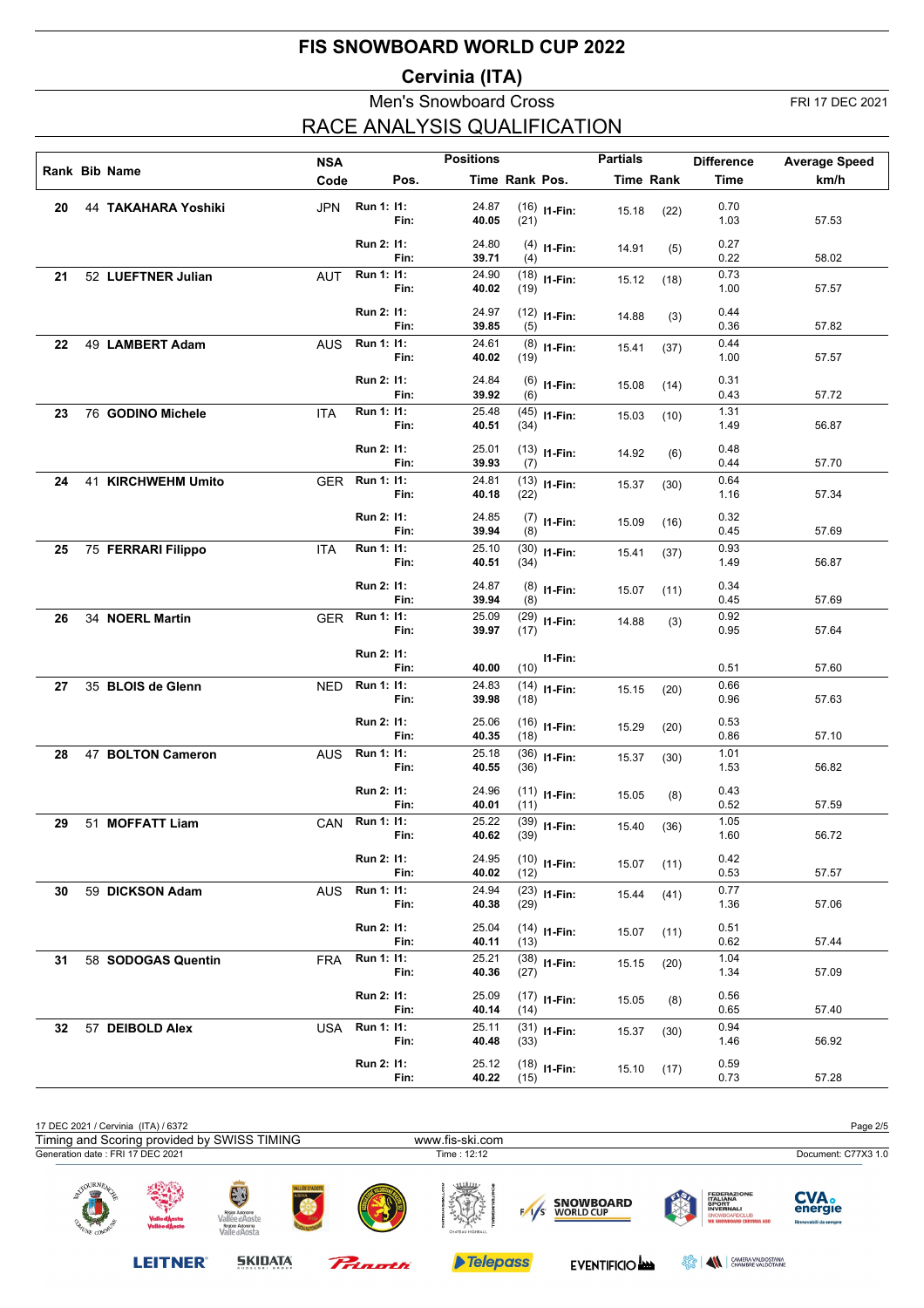### **Cervinia (ITA)**

#### Men's Snowboard Cross FRI 17 DEC 2021 RACE ANALYSIS QUALIFICATION

|    | Rank Bib Name       | <b>NSA</b> |                |      | <b>Positions</b> |                |                | <b>Partials</b> |                  | <b>Difference</b> | <b>Average Speed</b> |
|----|---------------------|------------|----------------|------|------------------|----------------|----------------|-----------------|------------------|-------------------|----------------------|
|    |                     | Code       |                | Pos. |                  | Time Rank Pos. |                |                 | <b>Time Rank</b> | <b>Time</b>       | km/h                 |
| 20 | 44 TAKAHARA Yoshiki | <b>JPN</b> | Run 1: 11:     | Fin: | 24.87<br>40.05   | (21)           | $(16)$ 11-Fin: | 15.18           | (22)             | 0.70<br>1.03      | 57.53                |
|    |                     |            | Run 2: 11:     | Fin: | 24.80<br>39.71   | (4)            | $(4)$ 11-Fin:  | 14.91           | (5)              | 0.27<br>0.22      | 58.02                |
| 21 | 52 LUEFTNER Julian  | <b>AUT</b> | Run 1: 11:     | Fin: | 24.90<br>40.02   | (19)           | $(18)$ 11-Fin: | 15.12           | (18)             | 0.73<br>1.00      | 57.57                |
|    |                     |            | Run 2: 11:     | Fin: | 24.97<br>39.85   | (5)            | $(12)$ 11-Fin: | 14.88           | (3)              | 0.44<br>0.36      | 57.82                |
| 22 | 49 LAMBERT Adam     | <b>AUS</b> | Run 1: 11:     | Fin: | 24.61<br>40.02   | (19)           | $(8)$ 11-Fin:  | 15.41           | (37)             | 0.44<br>1.00      | 57.57                |
|    |                     |            | Run 2: 11:     | Fin: | 24.84<br>39.92   | (6)            | $(6)$ 11-Fin:  | 15.08           | (14)             | 0.31<br>0.43      | 57.72                |
| 23 | 76 GODINO Michele   | <b>ITA</b> | Run 1: 11:     | Fin: | 25.48<br>40.51   | (34)           | $(45)$ 11-Fin: | 15.03           | (10)             | 1.31<br>1.49      | 56.87                |
|    |                     |            | Run 2: 11:     | Fin: | 25.01<br>39.93   | (7)            | $(13)$ 11-Fin: | 14.92           | (6)              | 0.48<br>0.44      | 57.70                |
| 24 | 41 KIRCHWEHM Umito  | <b>GER</b> | Run 1: 11:     | Fin: | 24.81<br>40.18   | (22)           | $(13)$ 11-Fin: | 15.37           | (30)             | 0.64<br>1.16      | 57.34                |
|    |                     |            | Run 2: 11:     | Fin: | 24.85<br>39.94   | (8)            | $(7)$ 11-Fin:  | 15.09           | (16)             | 0.32<br>0.45      | 57.69                |
| 25 | 75 FERRARI Filippo  | <b>ITA</b> | Run 1: 11:     | Fin: | 25.10<br>40.51   | (34)           | $(30)$ 11-Fin: | 15.41           | (37)             | 0.93<br>1.49      | 56.87                |
|    |                     |            | Run 2: 11:     | Fin: | 24.87<br>39.94   | (8)            | $(8)$ 11-Fin:  | 15.07           | (11)             | 0.34<br>0.45      | 57.69                |
| 26 | 34 NOERL Martin     | GER        | Run 1: 11:     | Fin: | 25.09<br>39.97   | (17)           | $(29)$ 11-Fin: | 14.88           | (3)              | 0.92<br>0.95      | 57.64                |
|    |                     |            | Run 2: 11:     | Fin: | 40.00            | (10)           | $11-Fin:$      |                 |                  | 0.51              | 57.60                |
| 27 | 35 BLOIS de Glenn   | <b>NED</b> | Run 1: 11:     | Fin: | 24.83<br>39.98   | (18)           | $(14)$ I1-Fin: | 15.15           | (20)             | 0.66<br>0.96      | 57.63                |
|    |                     |            | Run 2: 11:     | Fin: | 25.06<br>40.35   | (18)           | $(16)$ 11-Fin: | 15.29           | (20)             | 0.53<br>0.86      | 57.10                |
| 28 | 47 BOLTON Cameron   | <b>AUS</b> | Run 1: 11:     | Fin: | 25.18<br>40.55   | (36)           | $(36)$ 11-Fin: | 15.37           | (30)             | 1.01<br>1.53      | 56.82                |
|    |                     |            | Run 2: 11:     | Fin: | 24.96<br>40.01   | (11)           | $(11)$ 11-Fin: | 15.05           | (8)              | 0.43<br>0.52      | 57.59                |
| 29 | 51 MOFFATT Liam     |            | CAN Run 1: 11: | Fin: | 25.22<br>40.62   | (39)           | $(39)$ 11-Fin: | 15.40           | (36)             | 1.05<br>1.60      | 56.72                |
|    |                     |            | Run 2: 11:     | Fin: | 24.95<br>40.02   | (12)           | $(10)$ I1-Fin: | 15.07           | (11)             | 0.42<br>0.53      | 57.57                |
| 30 | 59 DICKSON Adam     | <b>AUS</b> | Run 1: 11:     | Fin: | 24.94<br>40.38   | (29)           | $(23)$ 11-Fin: | 15.44           | (41)             | 0.77<br>1.36      | 57.06                |
|    |                     |            | Run 2: 11:     | Fin: | 25.04<br>40.11   | (13)           | $(14)$ I1-Fin: | 15.07           | (11)             | 0.51<br>0.62      | 57.44                |
| 31 | 58 SODOGAS Quentin  | FRA        | Run 1: 11:     | Fin: | 25.21<br>40.36   | (27)           | $(38)$ 11-Fin: | 15.15           | (20)             | 1.04<br>1.34      | 57.09                |
|    |                     |            | Run 2: 11:     | Fin: | 25.09<br>40.14   | (14)           | $(17)$ I1-Fin: | 15.05           | (8)              | 0.56<br>0.65      | 57.40                |
| 32 | 57 DEIBOLD Alex     | <b>USA</b> | Run 1: 11:     | Fin: | 25.11<br>40.48   | (33)           | $(31)$ 11-Fin: | 15.37           | (30)             | 0.94<br>1.46      | 56.92                |
|    |                     |            | Run 2: 11:     | Fin: | 25.12<br>40.22   | (15)           | $(18)$ 11-Fin: | 15.10           | (17)             | 0.59<br>0.73      | 57.28                |

| 17 DEC 2021 / Cervinia (ITA) / 6372         |                                 |                                                                        |                      |                        |                                                    |                                                                                                                                | Page 2/5                                        |
|---------------------------------------------|---------------------------------|------------------------------------------------------------------------|----------------------|------------------------|----------------------------------------------------|--------------------------------------------------------------------------------------------------------------------------------|-------------------------------------------------|
| Timing and Scoring provided by SWISS TIMING |                                 |                                                                        |                      | www.fis-ski.com        |                                                    |                                                                                                                                |                                                 |
| Generation date: FRI 17 DEC 2021            |                                 |                                                                        |                      | Time : 12:12           |                                                    |                                                                                                                                | Document: C77X3 1.0                             |
| $\sim$ OURNE<br>₩<br>医丝<br><b>ANE CON</b>   | Valle d'Aosta<br>Vallée d'Aoste | Région Autonome<br>Vallée d'Aoste<br>Regione Autonoma<br>Valle d'Aosta | <b>ALLÉE D'AOSTE</b> | um<br>CHATEAU HIGHBALL | <b>SNOWBOARD</b><br><b>WORLD CUP</b><br>$\sqrt{1}$ | <b>FEDERAZIONE</b><br><b>ITALIANA</b><br><b>SPORT</b><br><b>INVERNALI</b><br>SNOWBOARDCLUB<br><b>WE SNOWBOARD CERVINIA ASD</b> | <b>CVA.</b><br>energie<br>Rinnovabili da sempre |

**LEITNER®** 

**SKIDATA** 





EVENTIFICIO **AND EVENTIFICIO AND ESSE** AND STATISTICIAL STATISTICS OF THE VALDOTAINE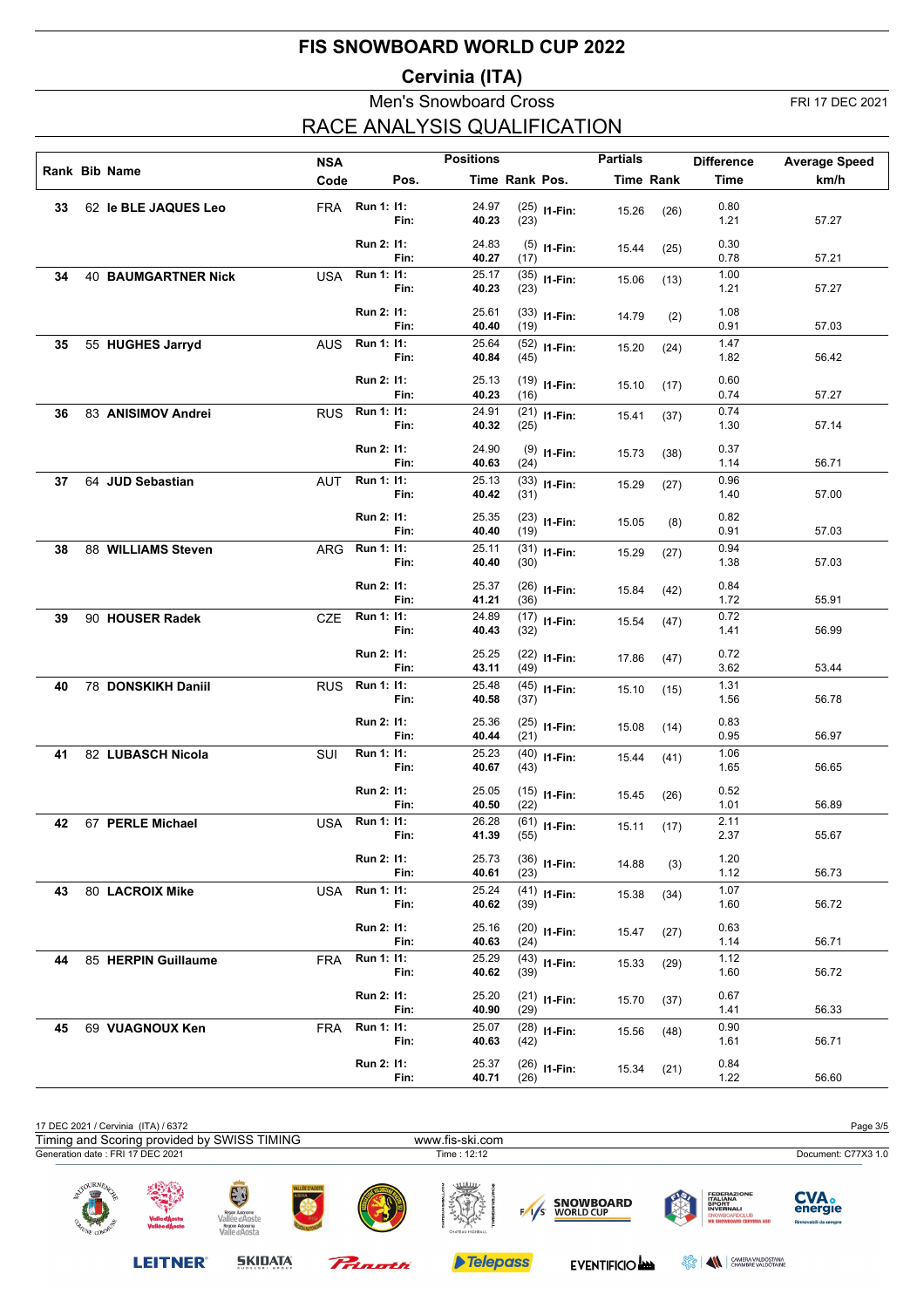### **Cervinia (ITA)**

## Men's Snowboard Cross FRI 17 DEC 2021 RACE ANALYSIS QUALIFICATION

|    |                            |            |                |      | <b>Positions</b> |                |                | <b>Partials</b> |                  |                   |                      |
|----|----------------------------|------------|----------------|------|------------------|----------------|----------------|-----------------|------------------|-------------------|----------------------|
|    | Rank Bib Name              | <b>NSA</b> |                |      |                  |                |                |                 |                  | <b>Difference</b> | <b>Average Speed</b> |
|    |                            | Code       |                | Pos. |                  | Time Rank Pos. |                |                 | <b>Time Rank</b> | Time              | km/h                 |
| 33 | 62 le BLE JAQUES Leo       | FRA        | Run 1: 11:     | Fin: | 24.97<br>40.23   | (23)           | $(25)$ 11-Fin: | 15.26           | (26)             | 0.80<br>1.21      | 57.27                |
|    |                            |            | Run 2: 11:     | Fin: | 24.83<br>40.27   | (17)           | $(5)$ 11-Fin:  | 15.44           | (25)             | 0.30<br>0.78      | 57.21                |
| 34 | <b>40 BAUMGARTNER Nick</b> | <b>USA</b> | Run 1: 11:     | Fin: | 25.17<br>40.23   | (23)           | $(35)$ 11-Fin: | 15.06           | (13)             | 1.00<br>1.21      | 57.27                |
|    |                            |            | Run 2: 11:     | Fin: | 25.61<br>40.40   | (19)           | $(33)$ 11-Fin: | 14.79           | (2)              | 1.08<br>0.91      | 57.03                |
| 35 | 55 HUGHES Jarryd           | <b>AUS</b> | Run 1: 11:     | Fin: | 25.64<br>40.84   | (45)           | $(52)$ 11-Fin: | 15.20           | (24)             | 1.47<br>1.82      | 56.42                |
|    |                            |            | Run 2: 11:     | Fin: | 25.13<br>40.23   | (16)           | $(19)$ 11-Fin: | 15.10           | (17)             | 0.60<br>0.74      | 57.27                |
| 36 | 83 ANISIMOV Andrei         | <b>RUS</b> | Run 1: 11:     | Fin: | 24.91<br>40.32   | (25)           | $(21)$ 11-Fin: | 15.41           | (37)             | 0.74<br>1.30      | 57.14                |
|    |                            |            | Run 2: 11:     | Fin: | 24.90<br>40.63   | (24)           | $(9)$ 11-Fin:  | 15.73           | (38)             | 0.37<br>1.14      | 56.71                |
| 37 | 64 JUD Sebastian           | <b>AUT</b> | Run 1: 11:     | Fin: | 25.13<br>40.42   | (31)           | $(33)$ 11-Fin: | 15.29           | (27)             | 0.96<br>1.40      | 57.00                |
|    |                            |            | Run 2: 11:     | Fin: | 25.35<br>40.40   | (19)           | $(23)$ 11-Fin: | 15.05           | (8)              | 0.82<br>0.91      | 57.03                |
| 38 | 88 WILLIAMS Steven         | ARG        | Run 1: 11:     | Fin: | 25.11<br>40.40   | (30)           | $(31)$ I1-Fin: | 15.29           | (27)             | 0.94<br>1.38      | 57.03                |
|    |                            |            | Run 2: 11:     | Fin: | 25.37<br>41.21   | (36)           | $(26)$ 11-Fin: | 15.84           | (42)             | 0.84<br>1.72      | 55.91                |
| 39 | 90 HOUSER Radek            | CZE        | Run 1: 11:     | Fin: | 24.89<br>40.43   | (32)           | $(17)$ 11-Fin: | 15.54           | (47)             | 0.72<br>1.41      | 56.99                |
|    |                            |            | Run 2: 11:     | Fin: | 25.25<br>43.11   | (49)           | $(22)$ 11-Fin: | 17.86           | (47)             | 0.72<br>3.62      | 53.44                |
| 40 | 78 DONSKIKH Daniil         | <b>RUS</b> | Run 1: 11:     | Fin: | 25.48<br>40.58   | (37)           | $(45)$ 11-Fin: | 15.10           | (15)             | 1.31<br>1.56      | 56.78                |
|    |                            |            | Run 2: 11:     | Fin: | 25.36<br>40.44   | (21)           | $(25)$ 11-Fin: | 15.08           | (14)             | 0.83<br>0.95      | 56.97                |
| 41 | 82 LUBASCH Nicola          | SUI        | Run 1: 11:     | Fin: | 25.23<br>40.67   | (43)           | $(40)$ 11-Fin: | 15.44           | (41)             | 1.06<br>1.65      | 56.65                |
|    |                            |            | Run 2: 11:     | Fin: | 25.05<br>40.50   | (22)           | $(15)$ I1-Fin: | 15.45           | (26)             | 0.52<br>1.01      | 56.89                |
| 42 | 67 PERLE Michael           |            | USA Run 1: 11: | Fin: | 26.28<br>41.39   | (55)           | $(61)$ I1-Fin: | 15.11           | (17)             | 2.11<br>2.37      | 55.67                |
|    |                            |            | Run 2: 11:     | Fin: | 25.73<br>40.61   | (23)           | $(36)$ 11-Fin: | 14.88           | (3)              | 1.20<br>1.12      | 56.73                |
| 43 | 80 LACROIX Mike            | USA        | Run 1: 11:     | Fin: | 25.24<br>40.62   | (39)           | $(41)$ I1-Fin: | 15.38           | (34)             | 1.07<br>1.60      | 56.72                |
|    |                            |            | Run 2: 11:     | Fin: | 25.16<br>40.63   | (24)           | $(20)$ 11-Fin: | 15.47           | (27)             | 0.63<br>1.14      | 56.71                |
| 44 | 85 HERPIN Guillaume        | <b>FRA</b> | Run 1: 11:     | Fin: | 25.29<br>40.62   | (39)           | $(43)$ 11-Fin: | 15.33           | (29)             | 1.12<br>1.60      | 56.72                |
|    |                            |            | Run 2: 11:     | Fin: | 25.20<br>40.90   | (29)           | $(21)$ 11-Fin: | 15.70           | (37)             | 0.67<br>1.41      | 56.33                |
| 45 | 69 VUAGNOUX Ken            | <b>FRA</b> | Run 1: 11:     | Fin: | 25.07<br>40.63   | (42)           | $(28)$ 11-Fin: | 15.56           | (48)             | 0.90<br>1.61      | 56.71                |
|    |                            |            | Run 2: 11:     | Fin: | 25.37<br>40.71   | (26)           | $(26)$ 11-Fin: | 15.34           | (21)             | 0.84<br>1.22      | 56.60                |

| 17 DEC 2021 / Cervinia (ITA) / 6372         |                                 |                                                                        |                    |                                        |                                                      |                                                                                                                                | Page 3/5                                        |
|---------------------------------------------|---------------------------------|------------------------------------------------------------------------|--------------------|----------------------------------------|------------------------------------------------------|--------------------------------------------------------------------------------------------------------------------------------|-------------------------------------------------|
| Timing and Scoring provided by SWISS TIMING |                                 |                                                                        |                    | www.fis-ski.com                        |                                                      |                                                                                                                                |                                                 |
| Generation date: FRI 17 DEC 2021            |                                 |                                                                        |                    | Time: 12:12                            |                                                      |                                                                                                                                | Document: C77X3 1.0                             |
| OURNE.<br>$-100$<br><b>ANE COM</b>          | Valle d'Aosta<br>Vallée d'Aoste | Région Autonome<br>Vallée d'Aoste<br>Regione Autonoma<br>Valle d'Aosta | <b>LLÉE D'AOST</b> | umn<br><b>ANON</b><br>CHATEAU HIGHBALL | <b>SNOWBOARD</b><br><b>WORLD CUP</b><br>$\sqrt{1/s}$ | <b>FEDERAZIONE</b><br><b>ITALIANA</b><br>SPORT<br><b>INVERNALI</b><br><b>SNOWBOARDCLUB</b><br><b>WE SNOWBOARD CERVINIA ASD</b> | <b>CVA.</b><br>energie<br>Rinnovabili da sempre |

Prinath

**LEITNER®** 

**SKIDATA** 

Telepass

EVENTIFICIO **AND EVENTIFICIO AND ESSE** AND STATISTICIAL STATISTICS OF THE VALDOTAINE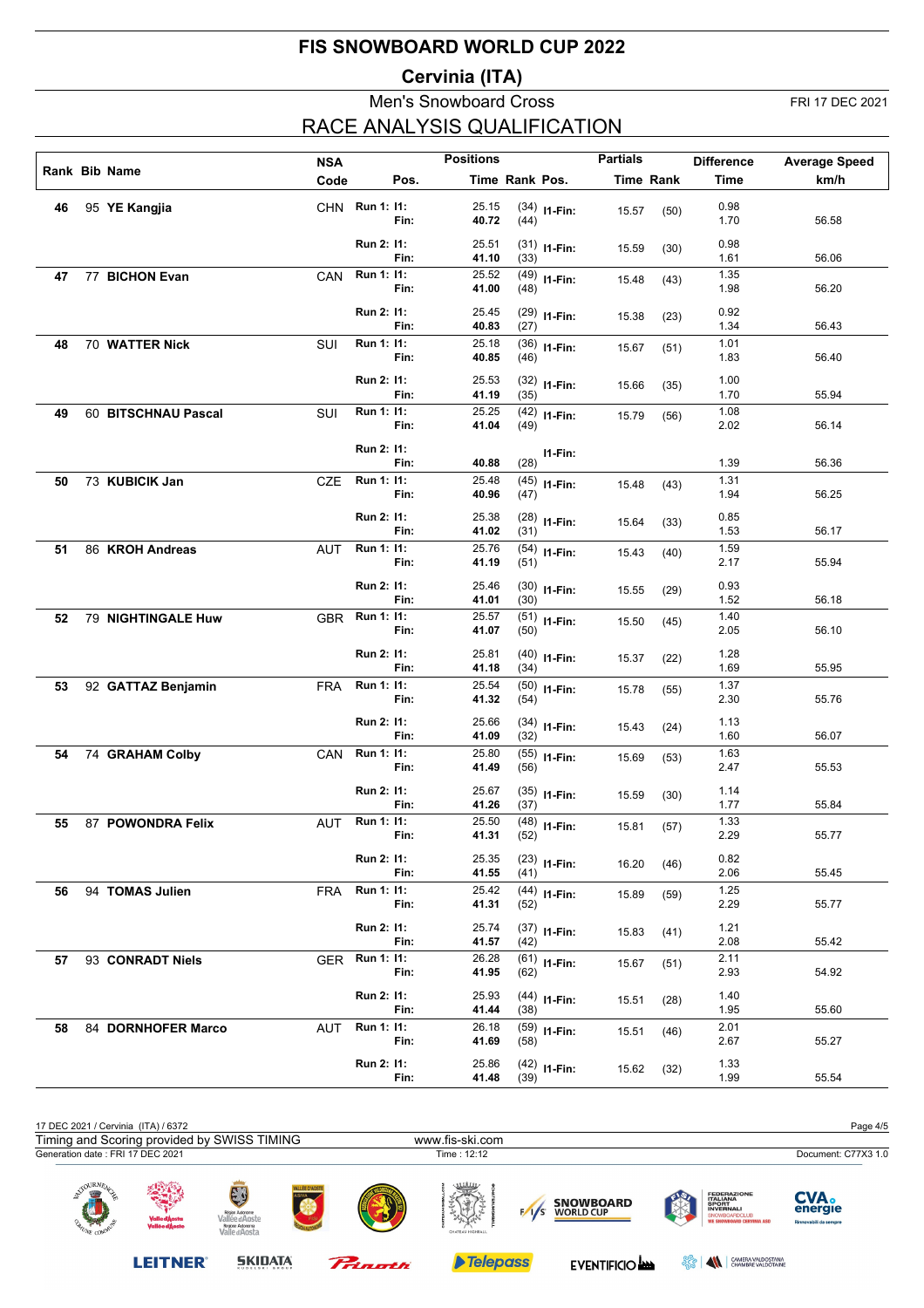### **Cervinia (ITA)**

#### Men's Snowboard Cross FRI 17 DEC 2021 RACE ANALYSIS QUALIFICATION

|    |                     |            |                |      | <b>Positions</b> |                |                | <b>Partials</b> |                  |                   |                      |
|----|---------------------|------------|----------------|------|------------------|----------------|----------------|-----------------|------------------|-------------------|----------------------|
|    | Rank Bib Name       | <b>NSA</b> |                |      |                  |                |                |                 |                  | <b>Difference</b> | <b>Average Speed</b> |
|    |                     | Code       |                | Pos. |                  | Time Rank Pos. |                |                 | <b>Time Rank</b> | <b>Time</b>       | km/h                 |
| 46 | 95 YE Kangjia       |            | CHN Run 1: 11: |      | 25.15            |                | $(34)$ 11-Fin: | 15.57           | (50)             | 0.98              |                      |
|    |                     |            |                | Fin: | 40.72            | (44)           |                |                 |                  | 1.70              | 56.58                |
|    |                     |            | Run 2: 11:     |      | 25.51            |                | $(31)$ 11-Fin: | 15.59           | (30)             | 0.98              |                      |
|    |                     |            |                | Fin: | 41.10            | (33)           |                |                 |                  | 1.61              | 56.06                |
| 47 | 77 BICHON Evan      | CAN        | Run 1: 11:     |      | 25.52            |                | $(49)$ 11-Fin: | 15.48           | (43)             | 1.35              |                      |
|    |                     |            |                | Fin: | 41.00            | (48)           |                |                 |                  | 1.98              | 56.20                |
|    |                     |            | Run 2: 11:     |      | 25.45            |                | $(29)$ 11-Fin: | 15.38           | (23)             | 0.92              |                      |
|    |                     |            |                | Fin: | 40.83            | (27)           |                |                 |                  | 1.34              | 56.43                |
| 48 | 70 WATTER Nick      | SUI        | Run 1: 11:     | Fin: | 25.18<br>40.85   |                | $(36)$ 11-Fin: | 15.67           | (51)             | 1.01<br>1.83      | 56.40                |
|    |                     |            |                |      |                  | (46)           |                |                 |                  |                   |                      |
|    |                     |            | Run 2: 11:     |      | 25.53            |                | $(32)$ 11-Fin: | 15.66           | (35)             | 1.00              |                      |
|    |                     |            |                | Fin: | 41.19            | (35)           |                |                 |                  | 1.70              | 55.94                |
| 49 | 60 BITSCHNAU Pascal | SUI        | Run 1: 11:     | Fin: | 25.25<br>41.04   | (49)           | $(42)$ 11-Fin: | 15.79           | (56)             | 1.08<br>2.02      | 56.14                |
|    |                     |            |                |      |                  |                |                |                 |                  |                   |                      |
|    |                     |            | Run 2: 11:     |      |                  |                | I1-Fin:        |                 |                  |                   |                      |
|    |                     |            | Run 1: 11:     | Fin: | 40.88<br>25.48   | (28)           |                |                 |                  | 1.39<br>1.31      | 56.36                |
| 50 | 73 KUBICIK Jan      | <b>CZE</b> |                | Fin: | 40.96            | (47)           | $(45)$ 11-Fin: | 15.48           | (43)             | 1.94              | 56.25                |
|    |                     |            |                |      |                  |                |                |                 |                  |                   |                      |
|    |                     |            | Run 2: 11:     | Fin: | 25.38<br>41.02   | (31)           | $(28)$ 11-Fin: | 15.64           | (33)             | 0.85<br>1.53      | 56.17                |
| 51 | 86 KROH Andreas     | <b>AUT</b> | Run 1: 11:     |      | 25.76            |                |                |                 |                  | 1.59              |                      |
|    |                     |            |                | Fin: | 41.19            | (51)           | $(54)$ I1-Fin: | 15.43           | (40)             | 2.17              | 55.94                |
|    |                     |            | Run 2: 11:     |      | 25.46            |                |                |                 |                  | 0.93              |                      |
|    |                     |            |                | Fin: | 41.01            | (30)           | $(30)$ 11-Fin: | 15.55           | (29)             | 1.52              | 56.18                |
| 52 | 79 NIGHTINGALE Huw  | GBR        | Run 1: 11:     |      | 25.57            |                | $(51)$ I1-Fin: |                 |                  | 1.40              |                      |
|    |                     |            |                | Fin: | 41.07            | (50)           |                | 15.50           | (45)             | 2.05              | 56.10                |
|    |                     |            | Run 2: 11:     |      | 25.81            |                | $(40)$ 11-Fin: |                 |                  | 1.28              |                      |
|    |                     |            |                | Fin: | 41.18            | (34)           |                | 15.37           | (22)             | 1.69              | 55.95                |
| 53 | 92 GATTAZ Benjamin  | <b>FRA</b> | Run 1: 11:     |      | 25.54            |                | $(50)$ 11-Fin: | 15.78           | (55)             | 1.37              |                      |
|    |                     |            |                | Fin: | 41.32            | (54)           |                |                 |                  | 2.30              | 55.76                |
|    |                     |            | Run 2: 11:     |      | 25.66            |                | $(34)$ 11-Fin: | 15.43           | (24)             | 1.13              |                      |
|    |                     |            |                | Fin: | 41.09            | (32)           |                |                 |                  | 1.60              | 56.07                |
| 54 | 74 GRAHAM Colby     | CAN        | Run 1: 11:     |      | 25.80            |                | $(55)$ I1-Fin: | 15.69           | (53)             | 1.63              |                      |
|    |                     |            |                | Fin: | 41.49            | (56)           |                |                 |                  | 2.47              | 55.53                |
|    |                     |            | Run 2: 11:     |      | 25.67            |                | $(35)$ 11-Fin: | 15.59           | (30)             | 1.14              |                      |
|    |                     |            |                | Fin: | 41.26            | (37)           |                |                 |                  | 1.77              | 55.84                |
| 55 | 87 POWONDRA Felix   | AUT        | Run 1: 11:     |      | 25.50            |                | $(48)$ 11-Fin: | 15.81           | (57)             | 1.33              |                      |
|    |                     |            |                | Fin: | 41.31            | (52)           |                |                 |                  | 2.29              | 55.77                |
|    |                     |            | Run 2: 11:     |      | 25.35            |                | $(23)$ 11-Fin: | 16.20           | (46)             | 0.82              |                      |
|    |                     |            |                | Fin: | 41.55            | (41)           |                |                 |                  | 2.06              | 55.45                |
| 56 | 94 TOMAS Julien     | <b>FRA</b> | Run 1: 11:     | Fin: | 25.42<br>41.31   | (52)           | $(44)$ I1-Fin: | 15.89           | (59)             | 1.25<br>2.29      | 55.77                |
|    |                     |            |                |      |                  |                |                |                 |                  |                   |                      |
|    |                     |            | Run 2: 11:     |      | 25.74            |                | $(37)$ 11-Fin: | 15.83           | (41)             | 1.21              |                      |
|    |                     |            |                | Fin: | 41.57            | (42)           |                |                 |                  | 2.08              | 55.42                |
| 57 | 93 CONRADT Niels    | <b>GER</b> | Run 1: 11:     | Fin: | 26.28<br>41.95   | (62)           | $(61)$ I1-Fin: | 15.67           | (51)             | 2.11<br>2.93      | 54.92                |
|    |                     |            |                |      |                  |                |                |                 |                  |                   |                      |
|    |                     |            | Run 2: 11:     | Fin: | 25.93<br>41.44   | (38)           | $(44)$ 11-Fin: | 15.51           | (28)             | 1.40<br>1.95      | 55.60                |
| 58 | 84 DORNHOFER Marco  | AUT        | Run 1: 11:     |      | 26.18            |                | $(59)$ 11-Fin: |                 |                  | 2.01              |                      |
|    |                     |            |                | Fin: | 41.69            | (58)           |                | 15.51           | (46)             | 2.67              | 55.27                |
|    |                     |            | Run 2: 11:     |      | 25.86            |                |                |                 |                  | 1.33              |                      |
|    |                     |            |                | Fin: | 41.48            | (39)           | $(42)$ 11-Fin: | 15.62           | (32)             | 1.99              | 55.54                |
|    |                     |            |                |      |                  |                |                |                 |                  |                   |                      |

| 17 DEC 2021 / Cervinia (ITA) / 6372                    |                                 |                                                                              |             |                                         |                                      |                                                                                                                         | Page 4/5                                 |  |
|--------------------------------------------------------|---------------------------------|------------------------------------------------------------------------------|-------------|-----------------------------------------|--------------------------------------|-------------------------------------------------------------------------------------------------------------------------|------------------------------------------|--|
| Timing and Scoring provided by SWISS TIMING            |                                 |                                                                              |             | www.fis-ski.com                         |                                      |                                                                                                                         |                                          |  |
| Generation date: FRI 17 DEC 2021                       |                                 |                                                                              |             | Time: 12:12                             |                                      |                                                                                                                         | Document: C77X3 1.0                      |  |
| $\bigcirc$ URN $F_A$<br>e ge<br>医仙人<br><b>TONE COM</b> | Valle d'Aosta<br>Vallée d'Aoste | EJ<br>Région Autonome<br>Vallée d'Aoste<br>Regione Autonoma<br>Valle d'Aosta | LLÉE D'AOST | uuu<br><b>Again</b><br>CHATEAU HIGHBALL | <b>SNOWBOARD</b><br><b>WORLD CUP</b> | <b>FEDERAZIONE</b><br><b>ITALIANA</b><br>SPORT<br><b>INVERNALI</b><br>SNOWBOARDCLUB<br><b>WE SNOWBOARD CERVINIA ASD</b> | CVA.<br>energie<br>Rinnovabili da sempre |  |

**LEITNER®** 

**SKIDATA** 





```
EVENTIFICIO AND EVENTIFICIO AND ESSE AND STATISTICIAL STATISTICS OF THE VALDOTAINE
```